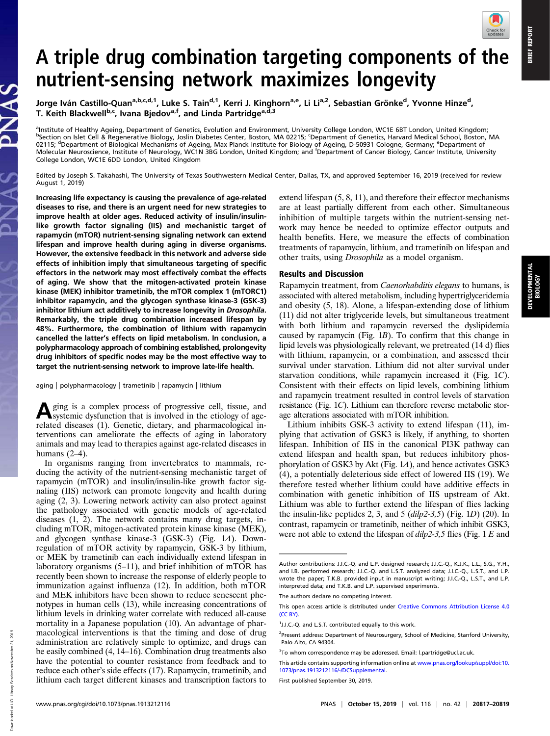BRIEF REPORT

**BRIEF REPORT** 

DEVELOPMENTAL BIOLOGY

## A triple drug combination targeting components of the nutrient-sensing network maximizes longevity

Jorge Iván Castillo-Quan<sup>a,b,c,d,1</sup>, Luke S. Tain<sup>d,1</sup>, Kerri J. Kinghorn<sup>a,e</sup>, Li Li<sup>a,2</sup>, Sebastian Grönke<sup>d</sup>, Yvonne Hinze<sup>d</sup>, T. Keith Blackwell<sup>b,c</sup>, Ivana Bjedov<sup>a,f</sup>, and Linda Partridge<sup>a,d,3</sup>

a Institute of Healthy Ageing, Department of Genetics, Evolution and Environment, University College London, WC1E 6BT London, United Kingdom; bSection on Islet Cell & Regenerative Biology, Joslin Diabetes Center, Boston, MA 02215; <sup>c</sup>Department of Genetics, Harvard Medical School, Boston, MA 02115; <sup>d</sup>Department of Biological Mechanisms of Ageing, Max Planck Institute for Biology of Ageing, D-50931 Cologne, Germany; <sup>e</sup>Department of<br>Molecular Neuroscience, Institute of Neurology, WC1N 3BG London, United Kingdo College London, WC1E 6DD London, United Kingdom

Edited by Joseph S. Takahashi, The University of Texas Southwestern Medical Center, Dallas, TX, and approved September 16, 2019 (received for review August 1, 2019)

Increasing life expectancy is causing the prevalence of age-related diseases to rise, and there is an urgent need for new strategies to improve health at older ages. Reduced activity of insulin/insulinlike growth factor signaling (IIS) and mechanistic target of rapamycin (mTOR) nutrient-sensing signaling network can extend lifespan and improve health during aging in diverse organisms. However, the extensive feedback in this network and adverse side effects of inhibition imply that simultaneous targeting of specific effectors in the network may most effectively combat the effects of aging. We show that the mitogen-activated protein kinase kinase (MEK) inhibitor trametinib, the mTOR complex 1 (mTORC1) inhibitor rapamycin, and the glycogen synthase kinase-3 (GSK-3) inhibitor lithium act additively to increase longevity in Drosophila. Remarkably, the triple drug combination increased lifespan by 48%. Furthermore, the combination of lithium with rapamycin cancelled the latter's effects on lipid metabolism. In conclusion, a polypharmacology approach of combining established, prolongevity drug inhibitors of specific nodes may be the most effective way to target the nutrient-sensing network to improve late-life health.

aging | polypharmacology | trametinib | rapamycin | lithium

Aging is a complex process of progressive cell, tissue, and systemic dysfunction that is involved in the etiology of agerelated diseases (1). Genetic, dietary, and pharmacological interventions can ameliorate the effects of aging in laboratory animals and may lead to therapies against age-related diseases in humans  $(2-4)$ .

In organisms ranging from invertebrates to mammals, reducing the activity of the nutrient-sensing mechanistic target of rapamycin (mTOR) and insulin/insulin-like growth factor signaling (IIS) network can promote longevity and health during aging (2, 3). Lowering network activity can also protect against the pathology associated with genetic models of age-related diseases (1, 2). The network contains many drug targets, including mTOR, mitogen-activated protein kinase kinase (MEK), and glycogen synthase kinase-3 (GSK-3) (Fig. 1A). Downregulation of mTOR activity by rapamycin, GSK-3 by lithium, or MEK by trametinib can each individually extend lifespan in laboratory organisms (5–11), and brief inhibition of mTOR has recently been shown to increase the response of elderly people to immunization against influenza (12). In addition, both mTOR and MEK inhibitors have been shown to reduce senescent phenotypes in human cells (13), while increasing concentrations of lithium levels in drinking water correlate with reduced all-cause mortality in a Japanese population (10). An advantage of pharmacological interventions is that the timing and dose of drug administration are relatively simple to optimize, and drugs can be easily combined (4, 14–16). Combination drug treatments also have the potential to counter resistance from feedback and to reduce each other's side effects (17). Rapamycin, trametinib, and lithium each target different kinases and transcription factors to extend lifespan (5, 8, 11), and therefore their effector mechanisms are at least partially different from each other. Simultaneous inhibition of multiple targets within the nutrient-sensing network may hence be needed to optimize effector outputs and health benefits. Here, we measure the effects of combination treatments of rapamycin, lithium, and trametinib on lifespan and other traits, using Drosophila as a model organism.

## Results and Discussion

Rapamycin treatment, from Caenorhabditis elegans to humans, is associated with altered metabolism, including hypertriglyceridemia and obesity (5, 18). Alone, a lifespan-extending dose of lithium (11) did not alter triglyceride levels, but simultaneous treatment with both lithium and rapamycin reversed the dyslipidemia caused by rapamycin (Fig. 1B). To confirm that this change in lipid levels was physiologically relevant, we pretreated (14 d) flies with lithium, rapamycin, or a combination, and assessed their survival under starvation. Lithium did not alter survival under starvation conditions, while rapamycin increased it (Fig. 1C). Consistent with their effects on lipid levels, combining lithium and rapamycin treatment resulted in control levels of starvation resistance (Fig. 1C). Lithium can therefore reverse metabolic storage alterations associated with mTOR inhibition.

Lithium inhibits GSK-3 activity to extend lifespan (11), implying that activation of GSK3 is likely, if anything, to shorten lifespan. Inhibition of IIS in the canonical PI3K pathway can extend lifespan and health span, but reduces inhibitory phosphorylation of GSK3 by Akt (Fig. 1A), and hence activates GSK3 (4), a potentially deleterious side effect of lowered IIS (19). We therefore tested whether lithium could have additive effects in combination with genetic inhibition of IIS upstream of Akt. Lithium was able to further extend the lifespan of flies lacking the insulin-like peptides 2, 3, and 5 ( $dilp2-3.5$ ) (Fig. 1D) (20). In contrast, rapamycin or trametinib, neither of which inhibit GSK3, were not able to extend the lifespan of  $dilp2-3,5$  flies (Fig. 1 E and

Author contributions: J.I.C.-Q. and L.P. designed research; J.I.C.-Q., K.J.K., L.L., S.G., Y.H., and I.B. performed research; J.I.C.-Q. and L.S.T. analyzed data; J.I.C.-Q., L.S.T., and L.P. wrote the paper; T.K.B. provided input in manuscript writing; J.I.C.-Q., L.S.T., and L.P. interpreted data; and T.K.B. and L.P. supervised experiments.

The authors declare no competing interest.

This open access article is distributed under [Creative Commons Attribution License 4.0](http://creativecommons.org/licenses/by/4.0/) [\(CC BY\).](http://creativecommons.org/licenses/by/4.0/)

<sup>&</sup>lt;sup>1</sup>J.I.C.-Q. and L.S.T. contributed equally to this work.

<sup>&</sup>lt;sup>2</sup>Present address: Department of Neurosurgery, School of Medicine, Stanford University, Palo Alto, CA 94304.

<sup>&</sup>lt;sup>3</sup>To whom correspondence may be addressed. Email: [l.partridge@ucl.ac.uk](mailto:l.partridge@ucl.ac.uk).

This article contains supporting information online at [www.pnas.org/lookup/suppl/doi:10.](https://www.pnas.org/lookup/suppl/doi:10.1073/pnas.1913212116/-/DCSupplemental) [1073/pnas.1913212116/-/DCSupplemental](https://www.pnas.org/lookup/suppl/doi:10.1073/pnas.1913212116/-/DCSupplemental).

First published September 30, 2019.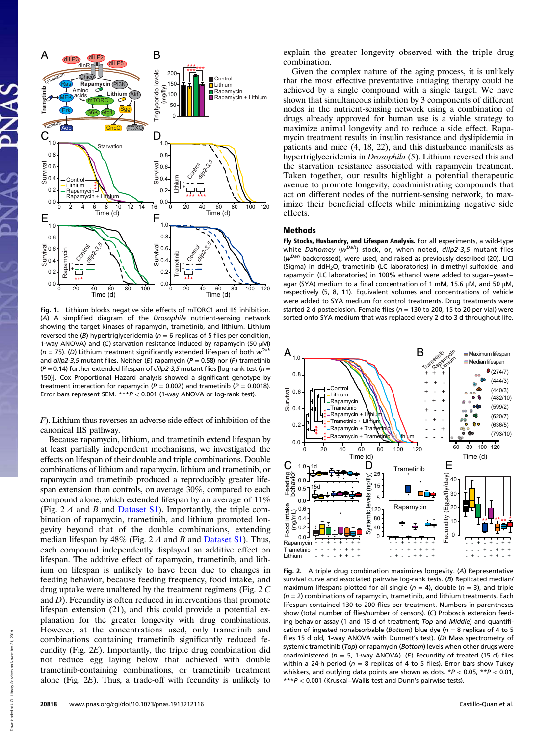

Fig. 1. Lithium blocks negative side effects of mTORC1 and IIS inhibition. (A) A simplified diagram of the Drosophila nutrient-sensing network showing the target kinases of rapamycin, trametinib, and lithium. Lithium reversed the (B) hypertriglyceridemia ( $n = 6$  replicas of 5 flies per condition, 1-way ANOVA) and (C) starvation resistance induced by rapamycin (50 μM) ( $n = 75$ ). (D) Lithium treatment significantly extended lifespan of both  $w^{Dah}$ and  $dilp2-3,5$  mutant flies. Neither (E) rapamycin (P = 0.58) nor (F) trametinib ( $P = 0.14$ ) further extended lifespan of *dilp2-3,5* mutant flies [log-rank test ( $n =$ 150)]. Cox Proportional Hazard analysis showed a significant genotype by treatment interaction for rapamycin ( $P = 0.002$ ) and trametinib ( $P = 0.0018$ ). Error bars represent SEM.  $***P < 0.001$  (1-way ANOVA or log-rank test).

F). Lithium thus reverses an adverse side effect of inhibition of the canonical IIS pathway.

Because rapamycin, lithium, and trametinib extend lifespan by at least partially independent mechanisms, we investigated the effects on lifespan of their double and triple combinations. Double combinations of lithium and rapamycin, lithium and trametinib, or rapamycin and trametinib produced a reproducibly greater lifespan extension than controls, on average 30%, compared to each compound alone, which extended lifespan by an average of 11% (Fig.  $2 \text{ } A$  and  $B$  and [Dataset S1](https://www.pnas.org/lookup/suppl/doi:10.1073/pnas.1913212116/-/DCSupplemental)). Importantly, the triple combination of rapamycin, trametinib, and lithium promoted longevity beyond that of the double combinations, extending median lifespan by  $48\%$  (Fig. 2 A and B and [Dataset S1](https://www.pnas.org/lookup/suppl/doi:10.1073/pnas.1913212116/-/DCSupplemental)). Thus, each compound independently displayed an additive effect on lifespan. The additive effect of rapamycin, trametinib, and lithium on lifespan is unlikely to have been due to changes in feeding behavior, because feeding frequency, food intake, and drug uptake were unaltered by the treatment regimens (Fig. 2 C and  $D$ ). Fecundity is often reduced in interventions that promote lifespan extension (21), and this could provide a potential explanation for the greater longevity with drug combinations. However, at the concentrations used, only trametinib and combinations containing trametinib significantly reduced fecundity (Fig. 2E). Importantly, the triple drug combination did not reduce egg laying below that achieved with double trametinib-containing combinations, or trametinib treatment alone (Fig. 2E). Thus, a trade-off with fecundity is unlikely to

explain the greater longevity observed with the triple drug combination.

Given the complex nature of the aging process, it is unlikely that the most effective preventative antiaging therapy could be achieved by a single compound with a single target. We have shown that simultaneous inhibition by 3 components of different nodes in the nutrient-sensing network using a combination of drugs already approved for human use is a viable strategy to maximize animal longevity and to reduce a side effect. Rapamycin treatment results in insulin resistance and dyslipidemia in patients and mice (4, 18, 22), and this disturbance manifests as hypertriglyceridemia in Drosophila (5). Lithium reversed this and the starvation resistance associated with rapamycin treatment. Taken together, our results highlight a potential therapeutic avenue to promote longevity, coadministrating compounds that act on different nodes of the nutrient-sensing network, to maximize their beneficial effects while minimizing negative side effects.

## Methods

Fly Stocks, Husbandry, and Lifespan Analysis. For all experiments, a wild-type white Dahomey ( $w^{Dah}$ ) stock, or, when noted,  $dilp2-3,5$  mutant flies ( $w<sup>Dah</sup>$  backcrossed), were used, and raised as previously described (20). LiCl (Sigma) in ddH<sub>2</sub>O, trametinib (LC laboratories) in dimethyl sulfoxide, and rapamycin (LC laboratories) in 100% ethanol were added to sugar−yeast− agar (SYA) medium to a final concentration of 1 mM, 15.6  $\mu$ M, and 50  $\mu$ M, respectively (5, 8, 11). Equivalent volumes and concentrations of vehicle were added to SYA medium for control treatments. Drug treatments were started 2 d posteclosion. Female flies ( $n = 130$  to 200, 15 to 20 per vial) were sorted onto SYA medium that was replaced every 2 d to 3 d throughout life.



Fig. 2. A triple drug combination maximizes longevity. (A) Representative survival curve and associated pairwise log-rank tests. (B) Replicated median/ maximum lifespans plotted for all single ( $n = 4$ ), double ( $n = 3$ ), and triple  $(n = 2)$  combinations of rapamycin, trametinib, and lithium treatments. Each lifespan contained 130 to 200 flies per treatment. Numbers in parentheses show (total number of flies/number of censors). (C) Proboscis extension feeding behavior assay (1 and 15 d of treatment; Top and Middle) and quantification of ingested nonabsorbable (Bottom) blue dye ( $n = 8$  replicas of 4 to 5 flies 15 d old, 1-way ANOVA with Dunnett's test). (D) Mass spectrometry of systemic trametinib (Top) or rapamycin (Bottom) levels when other drugs were coadministered ( $n = 5$ , 1-way ANOVA). (E) Fecundity of treated (15 d) flies within a 24-h period ( $n = 8$  replicas of 4 to 5 flies). Error bars show Tukey whiskers, and outlying data points are shown as dots.  $*P < 0.05$ ,  $*P < 0.01$ , \*\*\*P < 0.001 (Kruskal−Wallis test and Dunn's pairwise tests).